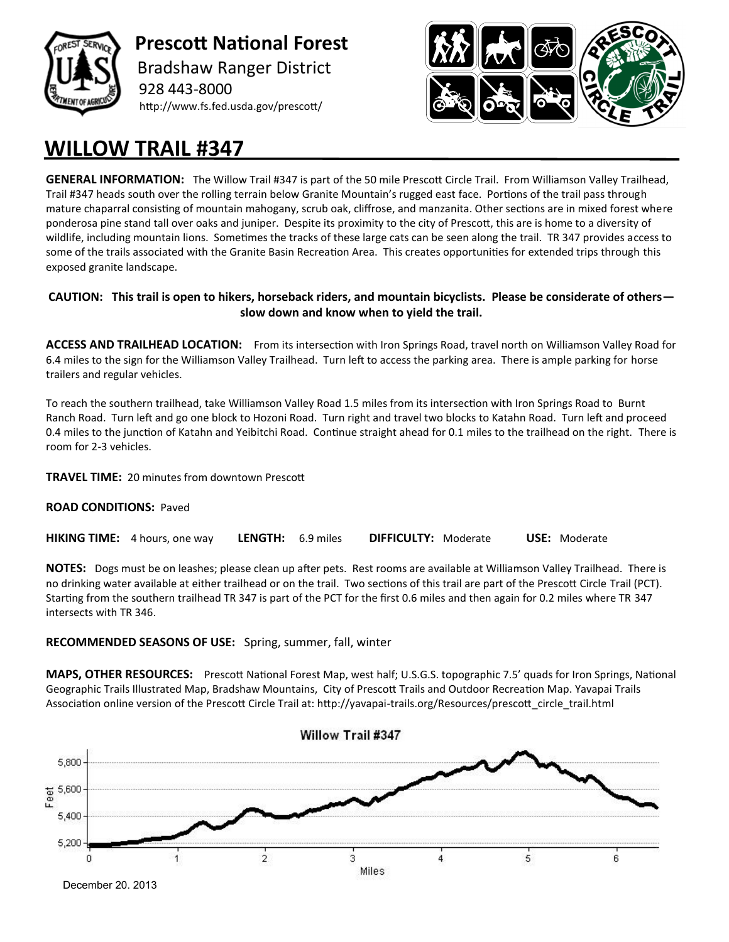

 **Prescott National Forest** Bradshaw Ranger District 928 443-8000 http://www.fs.fed.usda.gov/prescott/



## **WILLOW TRAIL #347**

**GENERAL INFORMATION:** The Willow Trail #347 is part of the 50 mile Prescott Circle Trail. From Williamson Valley Trailhead, Trail #347 heads south over the rolling terrain below Granite Mountain's rugged east face. Portions of the trail pass through mature chaparral consisting of mountain mahogany, scrub oak, cliffrose, and manzanita. Other sections are in mixed forest where ponderosa pine stand tall over oaks and juniper. Despite its proximity to the city of Prescott, this are is home to a diversity of wildlife, including mountain lions. Sometimes the tracks of these large cats can be seen along the trail. TR 347 provides access to some of the trails associated with the Granite Basin Recreation Area. This creates opportunities for extended trips through this exposed granite landscape.

## **CAUTION: This trail is open to hikers, horseback riders, and mountain bicyclists. Please be considerate of others slow down and know when to yield the trail.**

**ACCESS AND TRAILHEAD LOCATION:** From its intersection with Iron Springs Road, travel north on Williamson Valley Road for 6.4 miles to the sign for the Williamson Valley Trailhead. Turn left to access the parking area. There is ample parking for horse trailers and regular vehicles.

To reach the southern trailhead, take Williamson Valley Road 1.5 miles from its intersection with Iron Springs Road to Burnt Ranch Road. Turn left and go one block to Hozoni Road. Turn right and travel two blocks to Katahn Road. Turn left and proceed 0.4 miles to the junction of Katahn and Yeibitchi Road. Continue straight ahead for 0.1 miles to the trailhead on the right. There is room for 2-3 vehicles.

**TRAVEL TIME:** 20 minutes from downtown Prescott

## **ROAD CONDITIONS:** Paved

**HIKING TIME:** 4 hours, one way **LENGTH:** 6.9 miles **DIFFICULTY:** Moderate **USE:** Moderate

**NOTES:** Dogs must be on leashes; please clean up after pets. Rest rooms are available at Williamson Valley Trailhead. There is no drinking water available at either trailhead or on the trail. Two sections of this trail are part of the Prescott Circle Trail (PCT). Starting from the southern trailhead TR 347 is part of the PCT for the first 0.6 miles and then again for 0.2 miles where TR 347 intersects with TR 346.

## **RECOMMENDED SEASONS OF USE:** Spring, summer, fall, winter

**MAPS, OTHER RESOURCES:** Prescott National Forest Map, west half; U.S.G.S. topographic 7.5' quads for Iron Springs, National Geographic Trails Illustrated Map, Bradshaw Mountains, City of Prescott Trails and Outdoor Recreation Map. Yavapai Trails Association online version of the Prescott Circle Trail at: http://yavapai-trails.org/Resources/prescott circle trail.html